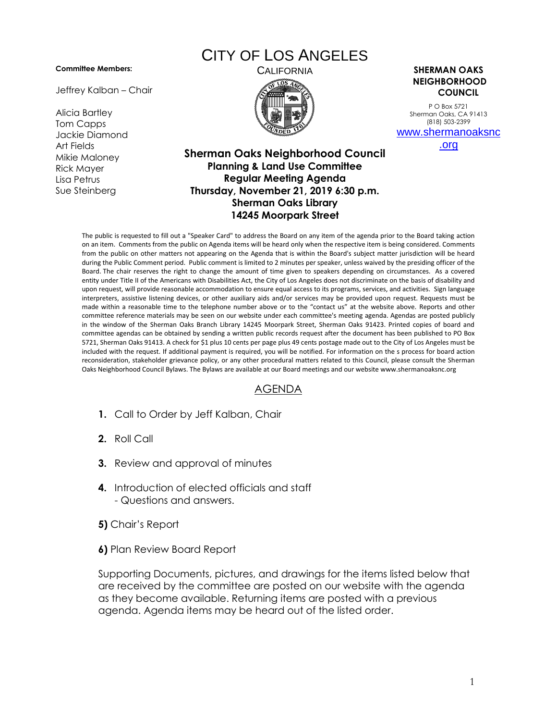## **Committee Members:**

Jeffrey Kalban – Chair

Alicia Bartley Tom Capps Jackie Diamond Art Fields Mikie Maloney Rick Mayer Lisa Petrus Sue Steinberg

## CITY OF LOS ANGELES



CALIFORNIA **SHERMAN OAKS NEIGHBORHOOD COUNCIL**

> P O Box 5721 Sherman Oaks, CA 91413 (818) 503-2399 [www.shermanoaksnc](http://www.shermanoaksnc.org/)

> > [.org](http://www.shermanoaksnc.org/)

## **Sherman Oaks Neighborhood Council Planning & Land Use Committee Regular Meeting Agenda Thursday, November 21, 2019 6:30 p.m. Sherman Oaks Library 14245 Moorpark Street**

The public is requested to fill out a "Speaker Card" to address the Board on any item of the agenda prior to the Board taking action on an item. Comments from the public on Agenda items will be heard only when the respective item is being considered. Comments from the public on other matters not appearing on the Agenda that is within the Board's subject matter jurisdiction will be heard during the Public Comment period. Public comment is limited to 2 minutes per speaker, unless waived by the presiding officer of the Board. The chair reserves the right to change the amount of time given to speakers depending on circumstances. As a covered entity under Title II of the Americans with Disabilities Act, the City of Los Angeles does not discriminate on the basis of disability and upon request, will provide reasonable accommodation to ensure equal access to its programs, services, and activities. Sign language interpreters, assistive listening devices, or other auxiliary aids and/or services may be provided upon request. Requests must be made within a reasonable time to the telephone number above or to the "contact us" at the website above. Reports and other committee reference materials may be seen on our website under each committee's meeting agenda. Agendas are posted publicly in the window of the Sherman Oaks Branch Library 14245 Moorpark Street, Sherman Oaks 91423. Printed copies of board and committee agendas can be obtained by sending a written public records request after the document has been published to PO Box 5721, Sherman Oaks 91413. A check for \$1 plus 10 cents per page plus 49 cents postage made out to the City of Los Angeles must be included with the request. If additional payment is required, you will be notified. For information on the s process for board action reconsideration, stakeholder grievance policy, or any other procedural matters related to this Council, please consult the Sherman Oaks Neighborhood Council Bylaws. The Bylaws are available at our Board meetings and our website www.shermanoaksnc.org

## AGENDA

- **1.** Call to Order by Jeff Kalban, Chair
- **2.** Roll Call
- **3.** Review and approval of minutes
- **4.** Introduction of elected officials and staff - Questions and answers.
- **5)** Chair's Report
- **6)** Plan Review Board Report

Supporting Documents, pictures, and drawings for the items listed below that are received by the committee are posted on our website with the agenda as they become available. Returning items are posted with a previous agenda. Agenda items may be heard out of the listed order.